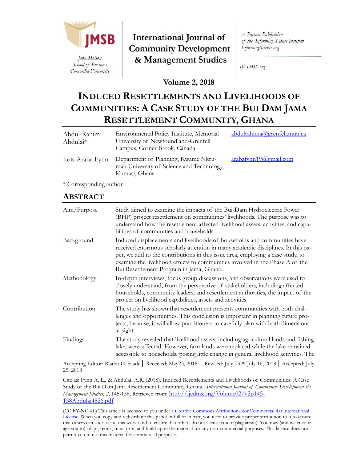

Concordia University

International Journal of **Community Development** & Management Studies

**A** Partner Publication of the Informing Science Institute InformingScience.org

IJCDMS.org

**Volume 2, 2018**

# **INDUCED RESETTLEMENTS AND LIVELIHOODS OF COMMUNITIES: A CASE STUDY OF THE BUI DAM JAMA RESETTLEMENT COMMUNITY, GHANA**

| Abdul-Rahim<br>Abdulai <sup>*</sup> | Environmental Policy Institute, Memorial<br>University of Newfoundland-Grenfell<br>Campus, Corner Brook, Canada | abdulrahima@grenfell.mun.ca |
|-------------------------------------|-----------------------------------------------------------------------------------------------------------------|-----------------------------|
| Lois Araba Fynn                     | Department of Planning, Kwame Nkru-<br>mah University of Science and Technology,<br>Kumasi, Ghana               | arabafynn19@gmail.com       |

\* Corresponding author

# **ABSTRACT**

| Aim/Purpose  | Study aimed to examine the impacts of the Bui-Dam Hydroelectric Power<br>(BHP) project resettlement on communities' livelihoods. The purpose was to<br>understand how the resettlement affected livelihood assets, activities, and capa-<br>bilities of communities and households.                                                                                        |
|--------------|----------------------------------------------------------------------------------------------------------------------------------------------------------------------------------------------------------------------------------------------------------------------------------------------------------------------------------------------------------------------------|
| Background   | Induced displacements and livelihoods of households and communities have<br>received enormous scholarly attention in many academic disciplines. In this pa-<br>per, we add to the contributions in this issue area, employing a case study, to<br>examine the livelihood effects to communities involved in the Phase A of the<br>Bui Resettlement Program in Jama, Ghana. |
| Methodology  | In-depth interviews, focus group discussions, and observations were used to<br>closely understand, from the perspective of stakeholders, including affected<br>households, community leaders, and resettlement authorities, the impact of the<br>project on livelihood capabilities, assets and activities.                                                                |
| Contribution | The study has shown that resettlement presents communities with both chal-<br>lenges and opportunities. This conclusion is important in planning future pro-<br>jects, because, it will allow practitioners to carefully plan with both dimensions<br>at sight.                                                                                                            |
| Findings     | The study revealed that livelihood assets, including agricultural lands and fishing<br>lake, were affected. However, farmlands were replaced while the lake remained<br>accessible to households, posing little change in general livelihood activities. The                                                                                                               |

Accepting Editor: Raafat G. Saadé│ Received: May23, 2018 │ Revised: July 03 & July 16, 2018│ Accepted: July 25, 2018

Cite as: Fynn A. L., & Abdulai, A.R. (2018). Induced Resettlements and Livelihoods of Communities: A Case Study of the Bui Dam Jama Resettlement Community, Ghana . *International Journal of Community Development & Management Studies, 2,* 145-158, Retrieved from: [http://ijcdms.org/Volume02/v2p145-](http://ijcdms.org/Volume02/v2p145-158Abdulai4826.pdf) [158Abdulai4826.pdf](http://ijcdms.org/Volume02/v2p145-158Abdulai4826.pdf)

(CC BY-NC 4.0) This article is licensed to you under a [Creative Commons Attribution-NonCommercial 4.0 International](https://creativecommons.org/licenses/by-nc/4.0/)  [License.](https://creativecommons.org/licenses/by-nc/4.0/) When you copy and redistribute this paper in full or in part, you need to provide proper attribution to it to ensure that others can later locate this work (and to ensure that others do not accuse you of plagiarism). You may (and we encourage you to) adapt, remix, transform, and build upon the material for any non-commercial purposes. This license does not permit you to use this material for commercial purposes.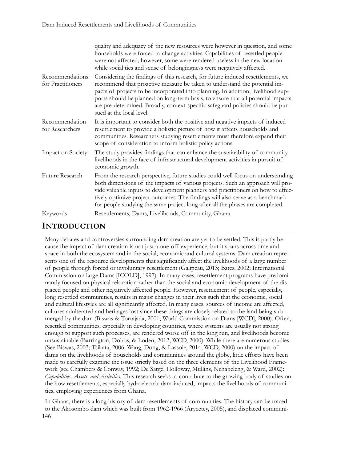|                                      | quality and adequacy of the new resources were however in question, and some<br>households were forced to change activities. Capabilities of resettled people<br>were not affected; however, some were rendered useless in the new location<br>while social ties and sense of belongingness were negatively affected.                                                                                                                               |  |
|--------------------------------------|-----------------------------------------------------------------------------------------------------------------------------------------------------------------------------------------------------------------------------------------------------------------------------------------------------------------------------------------------------------------------------------------------------------------------------------------------------|--|
| Recommendations<br>for Practitioners | Considering the findings of this research, for future induced resettlements, we<br>recommend that proactive measure be taken to understand the potential im-<br>pacts of projects to be incorporated into planning. In addition, livelihood sup-<br>ports should be planned on long-term basis, to ensure that all potential impacts<br>are pre-determined. Broadly, context-specific safeguard policies should be pur-<br>sued at the local level. |  |
| Recommendation<br>for Researchers    | It is important to consider both the positive and negative impacts of induced<br>resettlement to provide a holistic picture of how it affects households and<br>communities. Researchers studying resettlements must therefore expand their<br>scope of consideration to inform holistic policy actions.                                                                                                                                            |  |
| Impact on Society                    | The study provides findings that can enhance the sustainability of community<br>livelihoods in the face of infrastructural development activities in pursuit of<br>economic growth.                                                                                                                                                                                                                                                                 |  |
| Future Research                      | From the research perspective, future studies could well focus on understanding<br>both dimensions of the impacts of various projects. Such an approach will pro-<br>vide valuable inputs to development planners and practitioners on how to effec-<br>tively optimize project outcomes. The findings will also serve as a benchmark<br>for people studying the same project long after all the phases are completed.                              |  |
| Keywords                             | Resettlements, Dams, Livelihoods, Community, Ghana                                                                                                                                                                                                                                                                                                                                                                                                  |  |

# **INTRODUCTION**

Many debates and controversies surrounding dam creation are yet to be settled. This is partly because the impact of dam creation is not just a one-off experience, but it spans across time and space in both the ecosystem and in the social, economic and cultural systems. Dam creation represents one of the resource developments that significantly affect the livelihoods of a large number of people through forced or involuntary resettlement (Galipeau, 2013; Bates, 2002; International Commission on large Dams [ICOLD], 1997). In many cases, resettlement programs have predominantly focused on physical relocation rather than the social and economic development of the displaced people and other negatively affected people. However, resettlement of people, especially, long resettled communities, results in major changes in their lives such that the economic, social and cultural lifestyles are all significantly affected. In many cases, sources of income are affected, cultures adulterated and heritages lost since these things are closely related to the land being submerged by the dam (Biswas & Tortajada, 2001; World Commission on Dams [WCD], 2000). Often, resettled communities, especially in developing countries, where systems are usually not strong enough to support such processes, are rendered worse off in the long run, and livelihoods become unsustainable (Barrington, Dobbs, & Loden, 2012; WCD, 2000). While there are numerous studies (See Biswas, 2003; Tsikata, 2006; Wang, Dong, & Lassoie, 2014; WCD, 2000) on the impact of dams on the livelihoods of households and communities around the globe, little efforts have been made to carefully examine the issue strictly based on the three elements of the Livelihood Framework (see Chambers & Conway, 1992; De Satgé, Holloway, Mullins, Nchabeleng, & Ward, 2002): *Capabilities, Assets, and Activities.* This research seeks to contribute to the growing body of studies on the how resettlements, especially hydroelectric dam-induced, impacts the livelihoods of communities, employing experiences from Ghana.

146 In Ghana, there is a long history of dam resettlements of communities. The history can be traced to the Akosombo dam which was built from 1962-1966 (Aryeetey, 2005), and displaced communi-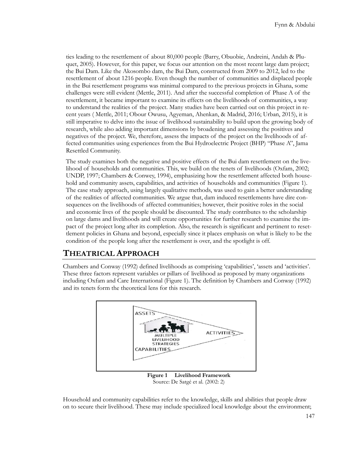ties leading to the resettlement of about 80,000 people (Barry, Obuobie, Andreini, Andah & Pluquet, 2005). However, for this paper, we focus our attention on the most recent large dam project; the Bui Dam. Like the Akosombo dam, the Bui Dam, constructed from 2009 to 2012, led to the resettlement of about 1216 people. Even though the number of communities and displaced people in the Bui resettlement programs was minimal compared to the previous projects in Ghana, some challenges were still evident (Mettle, 2011). And after the successful completion of Phase A of the resettlement, it became important to examine its effects on the livelihoods of communities, a way to understand the realities of the project. Many studies have been carried out on this project in recent years ( Mettle, 2011; Obour Owusu, Agyeman, Ahenkan, & Madrid, 2016; Urban, 2015), it is still imperative to delve into the issue of livelihood sustainability to build upon the growing body of research, while also adding important dimensions by broadening and assessing the positives and negatives of the project. We, therefore, assess the impacts of the project on the livelihoods of affected communities using experiences from the Bui Hydroelectric Project (BHP) "Phase A", Jama Resettled Community.

The study examines both the negative and positive effects of the Bui dam resettlement on the livelihood of households and communities. This, we build on the tenets of livelihoods (Oxfam, 2002; UNDP, 1997; Chambers & Conwey, 1994), emphasizing how the resettlement affected both household and community assets, capabilities, and activities of households and communities (Figure 1). The case study approach, using largely qualitative methods, was used to gain a better understanding of the realities of affected communities. We argue that, dam induced resettlements have dire consequences on the livelihoods of affected communities; however, their positive roles in the social and economic lives of the people should be discounted. The study contributes to the scholarship on large dams and livelihoods and will create opportunities for further research to examine the impact of the project long after its completion. Also, the research is significant and pertinent to resettlement policies in Ghana and beyond, especially since it places emphasis on what is likely to be the condition of the people long after the resettlement is over, and the spotlight is off.

### **THEATRICAL APPROACH**

Chambers and Conway (1992) defined livelihoods as comprising 'capabilities', 'assets and 'activities'. These three factors represent variables or pillars of livelihood as proposed by many organizations including Oxfam and Care International (Figure 1). The definition by Chambers and Conway (1992) and its tenets form the theoretical lens for this research.



Source: De Satgé et al. (2002: 2)

Household and community capabilities refer to the knowledge, skills and abilities that people draw on to secure their livelihood. These may include specialized local knowledge about the environment;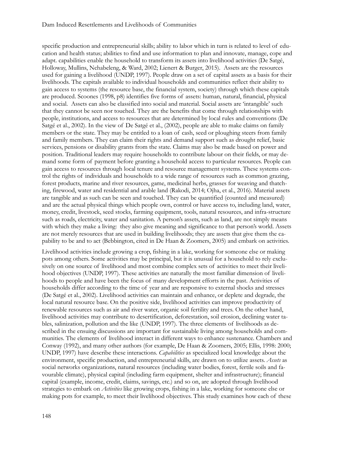specific production and entrepreneurial skills; ability to labor which in turn is related to level of education and health status; abilities to find and use information to plan and innovate, manage, cope and adapt. capabilities enable the household to transform its assets into livelihood activities (De Satgé, Holloway, Mullins, Nchabeleng, & Ward, 2002; Lienert & Burger, 2015). Assets are the resources used for gaining a livelihood (UNDP, 1997). People draw on a set of capital assets as a basis for their livelihoods. The capitals available to individual households and communities reflect their ability to gain access to systems (the resource base, the financial system, society) through which these capitals are produced. Scoones (1998, p8) identifies five forms of assets: human, natural, financial, physical and social. Assets can also be classified into social and material. Social assets are 'intangible' such that they cannot be seen nor touched. They are the benefits that come through relationships with people, institutions, and access to resources that are determined by local rules and conventions (De Satgé et al., 2002). In the view of De Satgé et al., (2002), people are able to make claims on family members or the state. They may be entitled to a loan of cash, seed or ploughing steers from family and family members. They can claim their rights and demand support such as drought relief, basic services, pensions or disability grants from the state. Claims may also be made based on power and position. Traditional leaders may require households to contribute labour on their fields, or may demand some form of payment before granting a household access to particular resources. People can gain access to resources through local tenure and resource management systems. These systems control the rights of individuals and households to a wide range of resources such as common grazing, forest products, marine and river resources, game, medicinal herbs, grasses for weaving and thatching, firewood, water and residential and arable land (Rakodi, 2014; Ojha, et al., 2016). Material assets are tangible and as such can be seen and touched. They can be quantified (counted and measured) and are the actual physical things which people own, control or have access to, including land, water, money, credit, livestock, seed stocks, farming equipment, tools, natural resources, and infra-structure such as roads, electricity, water and sanitation. A person's assets, such as land, are not simply means with which they make a living: they also give meaning and significance to that person's world. Assets are not merely resources that are used in building livelihoods; they are assets that give them the capability to be and to act (Bebbington, cited in De Haan & Zoomers, 2005) and embark on activities.

Livelihood activities include growing a crop, fishing in a lake, working for someone else or making pots among others. Some activities may be principal, but it is unusual for a household to rely exclusively on one source of livelihood and most combine complex sets of activities to meet their livelihood objectives (UNDP, 1997). These activities are naturally the most familiar dimension of livelihoods to people and have been the focus of many development efforts in the past. Activities of households differ according to the time of year and are responsive to external shocks and stresses (De Satgé et al., 2002). Livelihood activities can maintain and enhance, or deplete and degrade, the local natural resource base. On the positive side, livelihood activities can improve productivity of renewable resources such as air and river water, organic soil fertility and trees. On the other hand, livelihood activities may contribute to desertification, deforestation, soil erosion, declining water tables, salinization, pollution and the like (UNDP, 1997). The three elements of livelihoods as described in the ensuing discussions are important for sustainable living among households and communities. The elements of livelihood interact in different ways to enhance sustenance. Chambers and Conway (1992), and many other authors (for example, De Haan & Zoomers, 2005; Ellis, 1998: 2000; UNDP, 1997) have describe these interactions. *Capabilities* as specialized local knowledge about the environment, specific production, and entrepreneurial skills, are drawn on to utilize assets. *Assets* as social networks organizations, natural resources (including water bodies, forest, fertile soils and favourable climate), physical capital (including farm equipment, shelter and infrastructure); financial capital (example, income, credit, claims, savings, etc.) and so on, are adopted through livelihood strategies to embark on *Activities* like growing crops, fishing in a lake, working for someone else or making pots for example, to meet their livelihood objectives. This study examines how each of these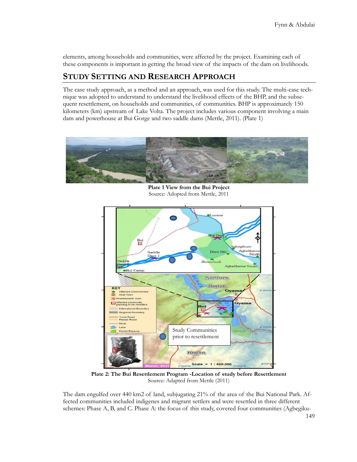elements, among households and communities, were affected by the project. Examining each of these components is important in getting the broad view of the impacts of the dam on livelihoods.

### **STUDY SETTING AND RESEARCH APPROACH**

The case study approach, as a method and an approach, was used for this study. The multi-case technique was adopted to understand to understand the livelihood effects of the BHP, and the subsequent resettlement, on households and communities, of communities. BHP is approximately 150 kilometers (km) upstream of Lake Volta. The project includes various component involving a main dam and powerhouse at Bui Gorge and two saddle dams (Mettle, 2011). (Plate 1)



**Plate 1 View from the Bui Project** Source: Adopted from Mettle, 2011



**Plate 2: The Bui Resettlement Program -Location of study before Resettlement** Source: Adapted from Mettle (2011)

The dam engulfed over 440 km2 of land, subjugating 21% of the area of the Bui National Park. Affected communities included indigenes and migrant settlers and were resettled in three different schemes: Phase A, B, and C. Phase A: the focus of this study, covered four communities (Agbegiku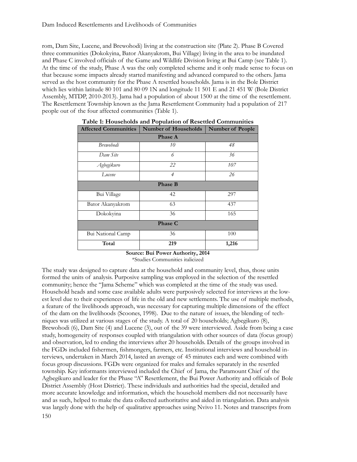rom, Dam Site, Lucene, and Brewohodi) living at the construction site (Plate 2). Phase B Covered three communities (Dokokyina, Bator Akanyakrom, Bui Village) living in the area to be inundated and Phase C involved officials of the Game and Wildlife Division living at Bui Camp (see Table 1). At the time of the study, Phase A was the only completed scheme and it only made sense to focus on that because some impacts already started manifesting and advanced compared to the others. Jama served as the host community for the Phase A resettled households. Jama is in the Bole District which lies within latitude 80 101 and 80 09 1N and longitude 11 501 E and 21 451 W (Bole District Assembly, MTDP, 2010-2013). Jama had a population of about 1500 at the time of the resettlement. The Resettlement Township known as the Jama Resettlement Community had a population of 217 people out of the four affected communities (Table 1).

| <b>Affected Communities</b> | Number of Households | <b>Number of People</b> |  |  |  |
|-----------------------------|----------------------|-------------------------|--|--|--|
| <b>Phase A</b>              |                      |                         |  |  |  |
| <b>Brewohodi</b>            | 10                   | 48                      |  |  |  |
| Dam Site                    | 6                    | 36                      |  |  |  |
| Agbegikuro                  | 22                   | 107                     |  |  |  |
| Lucene                      | $\overline{4}$       | 26                      |  |  |  |
| <b>Phase B</b>              |                      |                         |  |  |  |
| Bui Village                 | 42                   | 297                     |  |  |  |
| Bator Akanyakrom            | 63                   | 437                     |  |  |  |
| Dokokyina                   | 36                   | 165                     |  |  |  |
| <b>Phase C</b>              |                      |                         |  |  |  |
| Bui National Camp           | 36                   | 100                     |  |  |  |
| Total                       | 219                  | 1,216                   |  |  |  |

**Table 1: Households and Population of Resettled Communities**

### **Source: Bui Power Authority, 2014**

\*Studies Communities italicized

150 The study was designed to capture data at the household and community level, thus, those units formed the units of analysis. Purposive sampling was employed in the selection of the resettled community; hence the "Jama Scheme" which was completed at the time of the study was used. Household heads and some case available adults were purposively selected for interviews at the lowest level due to their experiences of life in the old and new settlements. The use of multiple methods, a feature of the livelihoods approach, was necessary for capturing multiple dimensions of the effect of the dam on the livelihoods (Scoones, 1998). Due to the nature of issues, the blending of techniques was utilized at various stages of the study. A total of 20 households; Agbegikuro (8), Brewohodi (6), Dam Site (4) and Lucene (3), out of the 39 were interviewed. Aside from being a case study, homogeneity of responses coupled with triangulation with other sources of data (focus group) and observation, led to ending the interviews after 20 households. Details of the groups involved in the FGDs included fishermen, fishmongers, farmers, etc. Institutional interviews and household interviews, undertaken in March 2014, lasted an average of 45 minutes each and were combined with focus group discussions. FGDs were organized for males and females separately in the resettled township. Key informants interviewed included the Chief of Jama, the Paramount Chief of the Agbegikuro and leader for the Phase "A" Resettlement, the Bui Power Authority and officials of Bole District Assembly (Host District). These individuals and authorities had the special, detailed and more accurate knowledge and information, which the household members did not necessarily have and as such, helped to make the data collected authoritative and aided in triangulation. Data analysis was largely done with the help of qualitative approaches using Nvivo 11. Notes and transcripts from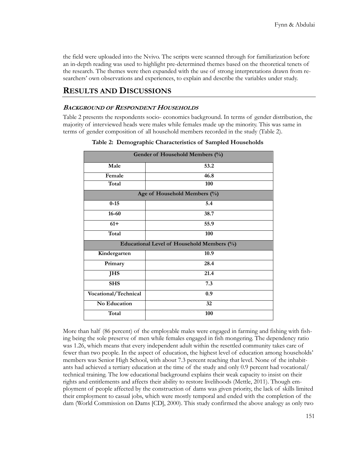the field were uploaded into the Nvivo. The scripts were scanned through for familiarization before an in-depth reading was used to highlight pre-determined themes based on the theoretical tenets of the research. The themes were then expanded with the use of strong interpretations drawn from researchers' own observations and experiences, to explain and describe the variables under study.

## **RESULTS AND DISCUSSIONS**

#### **BACKGROUND OF RESPONDENT HOUSEHOLDS**

Table 2 presents the respondents socio- economics background. In terms of gender distribution, the majority of interviewed heads were males while females made up the minority. This was same in terms of gender composition of all household members recorded in the study (Table 2).

| Gender of Household Members (%)            |      |  |  |  |
|--------------------------------------------|------|--|--|--|
| Male                                       | 53.2 |  |  |  |
| Female                                     | 46.8 |  |  |  |
| Total                                      | 100  |  |  |  |
| Age of Household Members (%)               |      |  |  |  |
| $0 - 15$                                   | 5.4  |  |  |  |
| $16 - 60$                                  | 38.7 |  |  |  |
| $61+$                                      | 55.9 |  |  |  |
| Total                                      | 100  |  |  |  |
| Educational Level of Household Members (%) |      |  |  |  |
| Kindergarten                               | 10.9 |  |  |  |
| Primary                                    | 28.4 |  |  |  |
| <b>JHS</b>                                 | 21.4 |  |  |  |
| <b>SHS</b>                                 | 7.3  |  |  |  |
| Vocational/Technical                       | 0.9  |  |  |  |
| No Education                               | 32   |  |  |  |
| Total                                      | 100  |  |  |  |

 **Table 2: Demographic Characteristics of Sampled Households**

More than half (86 percent) of the employable males were engaged in farming and fishing with fishing being the sole preserve of men while females engaged in fish mongering. The dependency ratio was 1.26, which means that every independent adult within the resettled community takes care of fewer than two people. In the aspect of education, the highest level of education among households' members was Senior High School, with about 7.3 percent reaching that level. None of the inhabitants had achieved a tertiary education at the time of the study and only 0.9 percent had vocational/ technical training. The low educational background explains their weak capacity to insist on their rights and entitlements and affects their ability to restore livelihoods (Mettle, 2011). Though employment of people affected by the construction of dams was given priority, the lack of skills limited their employment to casual jobs, which were mostly temporal and ended with the completion of the dam (World Commission on Dams [CD], 2000). This study confirmed the above analogy as only two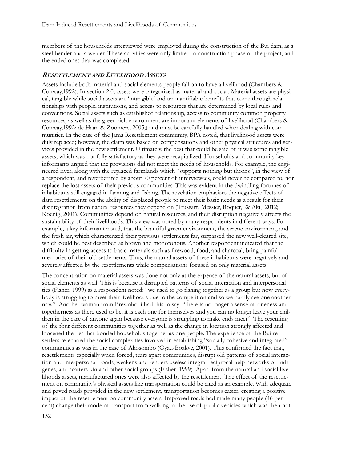members of the households interviewed were employed during the construction of the Bui dam, as a steel bender and a welder. These activities were only limited to construction phase of the project, and the ended ones that was completed.

#### **RESETTLEMENT AND LIVELIHOOD ASSETS**

Assets include both material and social elements people fall on to have a livelihood (Chambers & Conway,1992). In section 2.0, assets were categorized as material and social. Material assets are physical, tangible while social assets are 'intangible' and unquantifiable benefits that come through relationships with people, institutions, and access to resources that are determined by local rules and conventions. Social assets such as established relationship, access to community common property resources, as well as the green rich environment are important elements of livelihood (Chambers & Conway,1992; de Haan & Zoomers, 2005;) and must be carefully handled when dealing with communities. In the case of the Jama Resettlement community, BPA noted, that livelihood assets were duly replaced; however, the claim was based on compensations and other physical structures and services provided in the new settlement. Ultimately, the best that could be said of it was some tangible assets; which was not fully satisfactory as they were recapitalized. Households and community key informants argued that the provisions did not meet the needs of households. For example, the engineered river, along with the replaced farmlands which "supports nothing but thorns'', in the view of a respondent, and reverberated by about 70 percent of interviewees, could never be compared to, nor replace the lost assets of their previous communities. This was evident in the dwindling fortunes of inhabitants still engaged in farming and fishing. The revelation emphasizes the negative effects of dam resettlements on the ability of displaced people to meet their basic needs as a result for their disintegration from natural resources they depend on (Trussart, Messier, Roquet, & Aki, 2012; Koenig, 2001). Communities depend on natural resources, and their disruption negatively affects the sustainability of their livelihoods. This view was noted by many respondents in different ways. For example, a key informant noted, that the beautiful green environment, the serene environment, and the fresh air, which characterized their previous settlements far, surpassed the new well-cleared site, which could be best described as brown and monotonous. Another respondent indicated that the difficulty in getting access to basic materials such as firewood, food, and charcoal, bring painful memories of their old settlements. Thus, the natural assets of these inhabitants were negatively and severely affected by the resettlements while compensations focused on only material assets.

The concentration on material assets was done not only at the expense of the natural assets, but of social elements as well. This is because it disrupted patterns of social interaction and interpersonal ties (Fisher, 1999) as a respondent noted: "we used to go fishing together as a group but now everybody is struggling to meet their livelihoods due to the competition and so we hardly see one another now". Another woman from Brewohodi had this to say: "there is no longer a sense of oneness and togetherness as there used to be, it is each one for themselves and you can no longer leave your children in the care of anyone again because everyone is struggling to make ends meet". The resettling of the four different communities together as well as the change in location strongly affected and loosened the ties that bonded households together as one people. The experience of the Bui resettlers re-echoed the social complexities involved in establishing "socially cohesive and integrated" communities as was in the case of Akosombo (Gyau-Boakye, 2001). This confirmed the fact that, resettlements especially when forced, tears apart communities, disrupt old patterns of social interaction and interpersonal bonds, weakens and renders useless integral reciprocal help networks of indigenes, and scatters kin and other social groups (Fisher, 1999). Apart from the natural and social livelihoods assets, manufactured ones were also affected by the resettlement. The effect of the resettlement on community's physical assets like transportation could be cited as an example. With adequate and paved roads provided in the new settlement, transportation becomes easier, creating a positive impact of the resettlement on community assets. Improved roads had made many people (46 percent) change their mode of transport from walking to the use of public vehicles which was then not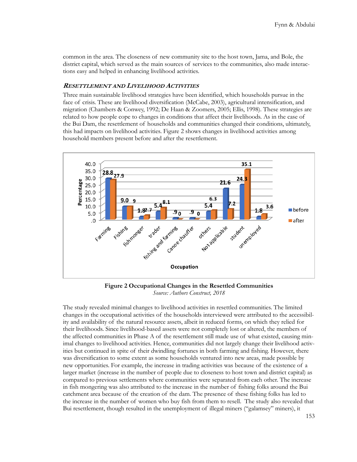common in the area. The closeness of new community site to the host town, Jama, and Bole, the district capital, which served as the main sources of services to the communities, also made interactions easy and helped in enhancing livelihood activities.

#### **RESETTLEMENT AND LIVELIHOOD ACTIVITIES**

Three main sustainable livelihood strategies have been identified, which households pursue in the face of crisis. These are livelihood diversification (McCabe, 2003), agricultural intensification, and migration (Chambers & Conwey, 1992; De Haan & Zoomers, 2005; Ellis, 1998). These strategies are related to how people cope to changes in conditions that affect their livelihoods. As in the case of the Bui Dam, the resettlement of households and communities changed their conditions, ultimately, this had impacts on livelihood activities. Figure 2 shows changes in livelihood activities among household members present before and after the resettlement.



**Figure 2 Occupational Changes in the Resettled Communities** *Source: Authors Construct, 2018*

The study revealed minimal changes to livelihood activities in resettled communities. The limited changes in the occupational activities of the households interviewed were attributed to the accessibility and availability of the natural resource assets, albeit in reduced forms, on which they relied for their livelihoods. Since livelihood-based assets were not completely lost or altered, the members of the affected communities in Phase A of the resettlement still made use of what existed, causing minimal changes to livelihood activities. Hence, communities did not largely change their livelihood activities but continued in spite of their dwindling fortunes in both farming and fishing. However, there was diversification to some extent as some households ventured into new areas, made possible by new opportunities. For example, the increase in trading activities was because of the existence of a larger market (increase in the number of people due to closeness to host town and district capital) as compared to previous settlements where communities were separated from each other. The increase in fish mongering was also attributed to the increase in the number of fishing folks around the Bui catchment area because of the creation of the dam. The presence of these fishing folks has led to the increase in the number of women who buy fish from them to resell. The study also revealed that Bui resettlement, though resulted in the unemployment of illegal miners ("galamsey" miners), it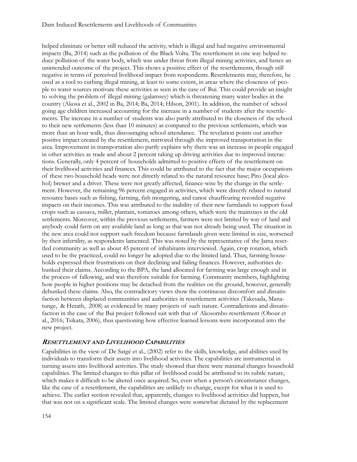helped eliminate or better still reduced the activity, which is illegal and had negative environmental impacts (Ba, 2014) such as the pollution of the Black Volta. The resettlement in one way helped reduce pollution of the water body, which was under threat from illegal mining activities, and hence an unintended outcome of the project. This shows a positive effect of the resettlements, though still negative in terms of perceived livelihood impact from respondents. Resettlements may, therefore, be used as a tool to curbing illegal mining, at least to some extent, in areas where the closeness of people to water sources motivate these activities as seen in the case of Bui. This could provide an insight to solving the problem of illegal mining (galamsey) which is threatening many water bodies in the country (Akosa et al., 2002 in Ba, 2014; Ba, 2014; Hilson, 2001). In addition, the number of school going age children increased accounting for the increase in a number of students after the resettlements. The increase in a number of students was also partly attributed to the closeness of the school to their new settlements (less than 10 minutes) as compared to the previous settlements, which was more than an hour walk, thus discouraging school attendance. The revelation points out another positive impact created by the resettlement, mirrored through the improved transportation in the area. Improvement in transportation also partly explains why there was an increase in people engaged in other activities as trade and about 2 percent taking up driving activities due to improved interactions. Generally, only 4 percent of households admitted to positive effects of the resettlement on their livelihood activities and finances. This could be attributed to the fact that the major occupations of these two household heads were not directly related to the natural resource base; Pito (local alcohol) brewer and a driver. These were not greatly affected, finance-wise by the change in the settlement. However, the remaining 96 percent engaged in activities, which were directly related to natural resource bases such as fishing, farming, fish mongering, and canoe chauffeuring recorded negative impacts on their incomes. This was attributed to the inability of their new farmlands to support food crops such as cassava, millet, plantain, tomatoes among others, which were the mainstays in the old settlements. Moreover, within the previous settlements, farmers were not limited by way of land and anybody could farm on any available land as long as that was not already being used. The situation in the new area could not support such freedom because farmlands given were limited in size, worsened by their infertility, as respondents lamented. This was noted by the representative of the Jama resettled community as well as about 45 percent of inhabitants interviewed. Again, crop rotation, which used to be the practiced, could no longer be adopted due to the limited land. Thus, farming households expressed their frustrations on their declining and failing finances. However, authorities debunked their claims. According to the BPA, the land allocated for farming was large enough and in the process of fallowing, and was therefore suitable for farming. Community members, highlighting how people in higher positions may be detached from the realities on the ground, however, generally debunked these claims. Also, the contradictory views show the continuous discomfort and dissatisfaction between displaced communities and authorities in resettlement activities (Takesada, Manatunge, & Herath, 2008) as evidenced by many projects of such nature. Contradictions and dissatisfaction in the case of the Bui project followed suit with that of Akosombo resettlement (Obour et al., 2016; Tsikata, 2006), thus questioning how effective learned lessons were incorporated into the new project.

#### **RESETTLEMENT AND LIVELIHOOD CAPABILITIES**

Capabilities in the view of De Satgé et al., (2002) refer to the skills, knowledge, and abilities used by individuals to transform their assets into livelihood activities. The capabilities are instrumental in turning assets into livelihood activities. The study showed that there were minimal changes household capabilities. The limited changes to this pillar of livelihood could be attributed to its subtle nature, which makes it difficult to be altered once acquired. So, even when a person's circumstance changes, like the case of a resettlement, the capabilities are unlikely to change, except for what it is used to achieve. The earlier section revealed that, apparently, changes to livelihood activities did happen, but that was not on a significant scale. The limited changes were somewhat dictated by the replacement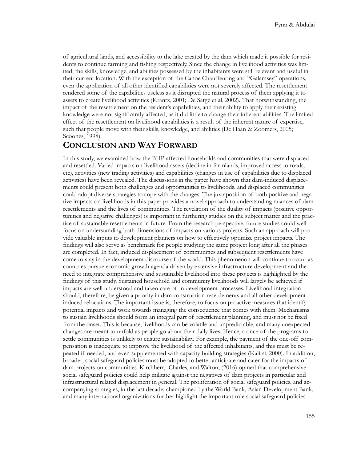of agricultural lands, and accessibility to the lake created by the dam which made it possible for residents to continue farming and fishing respectively. Since the change in livelihood activities was limited, the skills, knowledge, and abilities possessed by the inhabitants were still relevant and useful in their current location. With the exception of the Canoe Chauffeuring and "Galamsey" operations, even the application of all other identified capabilities were not severely affected. The resettlement rendered some of the capabilities useless as it disrupted the natural process of them applying it to assets to create livelihood activities (Krantz, 2001; De Satgé et al, 2002). That notwithstanding, the impact of the resettlement on the resident's capabilities, and their ability to apply their existing knowledge were not significantly affected, as it did little to change their inherent abilities. The limited effect of the resettlement on livelihood capabilities is a result of the inherent nature of expertise, such that people move with their skills, knowledge, and abilities (De Haan & Zoomers, 2005; Scoones, 1998).

### **CONCLUSION AND WAY FORWARD**

In this study, we examined how the BHP affected households and communities that were displaced and resettled. Varied impacts on livelihood assets (decline in farmlands, improved access to roads, etc), activities (new trading activities) and capabilities (changes in use of capabilities due to displaced activities) have been revealed. The discussions in the paper have shown that dam-induced displacements could present both challenges and opportunities to livelihoods, and displaced communities could adopt diverse strategies to cope with the changes. The juxtaposition of both positive and negative impacts on livelihoods in this paper provides a novel approach to understanding nuances of dam resettlements and the lives of communities. The revelation of the duality of impacts (positive opportunities and negative challenges) is important in furthering studies on the subject matter and the practice of sustainable resettlements in future. From the research perspective, future studies could well focus on understanding both dimensions of impacts on various projects. Such an approach will provide valuable inputs to development planners on how to effectively optimize project impacts. The findings will also serve as benchmark for people studying the same project long after all the phases are completed. In fact, induced displacement of communities and subsequent resettlements have come to stay in the development discourse of the world. This phenomenon will continue to occur as countries pursue economic growth agenda driven by extensive infrastructure development and the need to integrate comprehensive and sustainable livelihood into these projects is highlighted by the findings of this study. Sustained household and community livelihoods will largely be achieved if impacts are well understood and taken care of in development processes. Livelihood integration should, therefore, be given a priority in dam construction resettlements and all other developmentinduced relocations. The important issue is, therefore, to focus on proactive measures that identify potential impacts and work towards managing the consequence that comes with them. Mechanisms to sustain livelihoods should form an integral part of resettlement planning, and must not be fixed from the onset. This is because, livelihoods can be volatile and unpredictable, and many unexpected changes are meant to unfold as people go about their daily lives. Hence, a once-of the programs to settle communities is unlikely to ensure sustainability. For example, the payment of the one-off compensation is inadequate to improve the livelihood of the affected inhabitants, and this must be repeated if needed, and even supplemented with capacity building strategies (Kalitsi, 2000). In addition, broader, social safeguard policies must be adopted to better anticipate and cater for the impacts of dam projects on communities. Kirchherr, Charles, and Walton, (2016) opined that comprehensive social safeguard policies could help militate against the negatives of dam projects in particular and infrastructural related displacement in general. The proliferation of social safeguard policies, and accompanying strategies, in the last decade, championed by the World Bank, Asian Development Bank, and many international organizations further highlight the important role social safeguard policies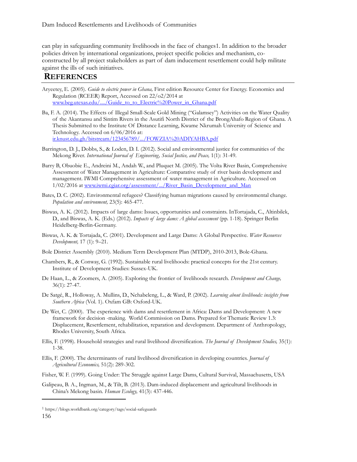can play in safeguarding community livelihoods in the face of changes1. In addition to the broader policies driven by international organizations, project specific policies and mechanism, coconstructed by all project stakeholders as part of dam inducement resettlement could help militate against the ills of such initiatives.

### **REFERENCES**

- Aryeetey, E. (2005). *Guide to electric power in Ghana,* First edition Resource Center for Energy. Economics and Regulation (RCEER) Report, Accessed on 22/o2/2014 at [www.beg.utexas.edu/..../Guide\\_to\\_to\\_Electric%20Power\\_in\\_Ghana.pdf](http://www.beg.utexas.edu/..../Guide_to_to_Electric%20Power_in_Ghana.pdf)
- Ba, F. A. (2014). The Effects of Illegal Small-Scale Gold Mining ("Galamsey") Activities on the Water Quality of the Akantansu and Sintim Rivers in the Asutifi North District of the BrongAhafo Region of Ghana. A Thesis Submitted to the Institute Of Distance Learning, Kwame Nkrumah University of Science and Technology. Accessed on 6/06/2016 at: ir.knust.edu.gh/bitstream/123456789/.../FOWZIA%20ADIYAHBA.pdf

Barrington, D. J., Dobbs, S., & Loden, D. I. (2012). Social and environmental justice for communities of the Mekong River. *International Journal of Engineering, Social Justice, and Peace,* 1(1): 31-49.

- Barry B, Obuobie E., Andreini M., Andah W., and Pluquet M. (2005). The Volta River Basin, Comprehensive Assessment of Water Management in Agriculture: Comparative study of river basin development and management. IWMI Comprehensive assessment of water management in Agriculture. Accessed on 1/02/2016 at [www.iwmi.cgiar.org/assessment/.../River\\_Basin\\_Development\\_and\\_Man](http://www.iwmi.cgiar.org/assessment/.../River_Basin_Development_and_Man)
- Bates, D. C. (2002). Environmental refugees? Classifying human migrations caused by environmental change. *Population and environment,* 23(5): 465-477.
- Biswas, A. K. (2012). Impacts of large dams: Issues, opportunities and constraints. InTortajada, C., Altinbilek, D., and Biswas, A. K. (Eds.) (2012). *Impacts of large dams: A global assessment* (pp. 1-18). Springer Berlin Heidelberg-Berlin-Germany.
- Biswas, A. K. & Tortajada, C. (2001). Development and Large Dams: A Global Perspective. *Water Resources Development,* 17 (1): 9–21.
- Bole District Assembly (2010). Medium Term Development Plan (MTDP), 2010-2013, Bole-Ghana.
- Chambers, R., & Conway, G. (1992). Sustainable rural livelihoods: practical concepts for the 21st century. Institute of Development Studies: Sussex-UK.
- De Haan, L., & Zoomers, A. (2005). Exploring the frontier of livelihoods research. *Development and Change,* 36(1): 27-47.
- De Satgé, R., Holloway, A. Mullins, D., Nchabeleng, L., & Ward, P. (2002). *Learning about livelihoods: insights from Southern Africa* (Vol. 1). Oxfam GB: Oxford-UK.
- De Wet, C. (2000). The experience with dams and resettlement in Africa: Dams and Development: A new framework for decision -making. World Commission on Dams. Prepared for Thematic Review 1.3: Displacement, Resettlement, rehabilitation, reparation and development. Department of Anthropology, Rhodes University, South Africa.
- Ellis, F. (1998). Household strategies and rural livelihood diversification. *The Journal of Development Studies,* 35(1): 1-38.
- Ellis, F. (2000). The determinants of rural livelihood diversification in developing countries. *Journal of Agricultural Economics,* 51(2): 289-302.
- Fisher, W. F. (1999). Going Under: The Struggle against Large Dams, Cultural Survival, Massachusetts, USA
- Galipeau, B. A., Ingman, M., & Tilt, B. (2013). Dam-induced displacement and agricultural livelihoods in China's Mekong basin. *Human Ecology,* 41(3): 437-446.

 $\overline{a}$ 

<sup>156</sup> <sup>1</sup> https://blogs.worldbank.org/category/tags/social-safeguards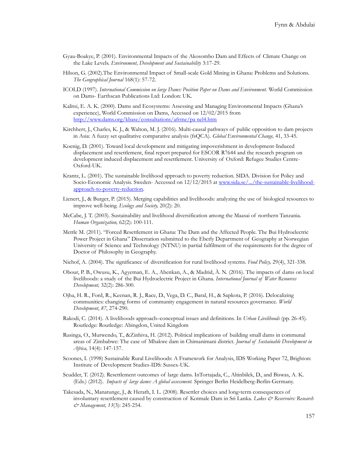- Gyau-Boakye, P. (2001). Environmental Impacts of the Akosombo Dam and Effects of Climate Change on the Lake Levels. *Environment, Development and Sustainability* 3:17-29.
- Hilson, G. (2002).The Environmental Impact of Small-scale Gold Mining in Ghana: Problems and Solutions. *The Geographical Journal* 168(1): 57-72.
- ICOLD (1997). *International Commission on large Dams: Position Paper on Dams and Environment.* World Commission on Dams- Earthscan Publications Ltd: London: UK.
- Kalitsi, E. A. K. (2000). Dams and Ecosystems: Assessing and Managing Environmental Impacts (Ghana's experience), World Commission on Dams, Accessed on 12/02/2015 from [http://www.dams.org/kbase/consultations/afrme/pa nel4.htm](http://www.dams.org/kbase/consultations/afrme/pa%20nel4.htm)
- Kirchherr, J., Charles, K. J., & Walton, M. J. (2016). Multi-causal pathways of public opposition to dam projects in Asia: A fuzzy set qualitative comparative analysis (fsQCA). *Global Environmental Change,* 41, 33-45.
- Koenig, D. (2001). Toward local development and mitigating impoverishment in development-Induced displacement and resettlement, final report prepared for ESCOR R7644 and the research program on development induced displacement and resettlement. University of Oxford: Refugee Studies Centre-Oxford-UK.
- Krantz, L. (2001). The sustainable livelihood approach to poverty reduction. SIDA. Division for Policy and Socio-Economic Analysis. Sweden- Accessed on  $12/12/2015$  at [www.sida.se/.../the-sustainable-livelihood](http://www.sida.se/.../the-sustainable-livelihood-approach-to-poverty-reduction)[approach-to-poverty-reduction.](http://www.sida.se/.../the-sustainable-livelihood-approach-to-poverty-reduction)
- Lienert, J., & Burger, P. (2015). Merging capabilities and livelihoods: analyzing the use of biological resources to improve well-being. *Ecology and Society,* 20(2): 20.
- McCabe, J. T. (2003). Sustainability and livelihood diversification among the Maasai of northern Tanzania. *Human Organization,* 62(2): 100-111.
- Mettle M. (2011). "Forced Resettlement in Ghana: The Dam and the Affected People. The Bui Hydroelectric Power Project in Ghana" Dissertation submitted to the Eberly Department of Geography at Norwegian University of Science and Technology (NTNU) in partial fulfilment of the requirements for the degree of Doctor of Philosophy in Geography.
- Niehof, A. (2004). The significance of diversification for rural livelihood systems. *Food Policy,* 29(4), 321-338.
- Obour, P. B., Owusu, K., Agyeman, E. A., Ahenkan, A., & Madrid, À. N. (2016). The impacts of dams on local livelihoods: a study of the Bui Hydroelectric Project in Ghana. *International Journal of Water Resources Development,* 32(2): 286-300.
- Ojha, H. R., Ford, R., Keenan, R. J., Race, D., Vega, D. C., Baral, H., & Sapkota, P. (2016). Delocalizing communities: changing forms of community engagement in natural resources governance. *World Development*, *87*, 274-290.
- Rakodi, C. (2014). A livelihoods approach–conceptual issues and definitions. In *Urban Livelihoods* (pp. 26-45). Routledge: Routledge: Abingdon, United Kingdom
- Rusinga, O., Murwendo, T., &Zinhiva, H. (2012). Political implications of building small dams in communal areas of Zimbabwe: The case of Mhakwe dam in Chimanimani district. *Journal of Sustainable Development in Africa,* 14(4): 147-157.
- Scoones, I. (1998) Sustainable Rural Livelihoods: A Framework for Analysis, IDS Working Paper 72, Brighton: Institute of Development Studies-IDS: Sussex-UK.
- Scudder, T. (2012). Resettlement outcomes of large dams. InTortajada, C., Altinbilek, D., and Biswas, A. K. (Eds.) (2012). *Impacts of large dams: A global assessment.* Springer Berlin Heidelberg-Berlin-Germany.
- Takesada, N., Manatunge, J., & Herath, I. L. (2008). Resettler choices and long‐term consequences of involuntary resettlement caused by construction of Kotmale Dam in Sri Lanka. *Lakes & Reservoirs: Research & Management, 13*(3): 245-254.